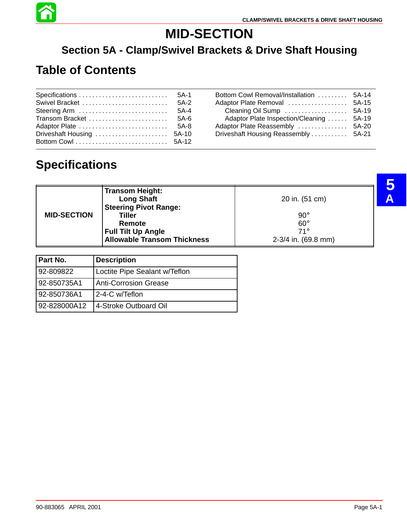

# **MID-SECTION**

#### **Section 5A - Clamp/Swivel Brackets & Drive Shaft Housing**

# **Table of Contents**

|  | Bottom Cowl Removal/Installation  5A-14  |  |
|--|------------------------------------------|--|
|  |                                          |  |
|  |                                          |  |
|  | Adaptor Plate Inspection/Cleaning  5A-19 |  |
|  |                                          |  |
|  | Driveshaft Housing Reassembly  5A-21     |  |
|  |                                          |  |

# **Specifications**

| <b>MID-SECTION</b> | <b>Transom Height:</b><br><b>Long Shaft</b><br><b>Steering Pivot Range:</b><br><b>Tiller</b><br>Remote<br><b>Full Tilt Up Angle</b><br><b>Allowable Transom Thickness</b> | 20 in. (51 cm)<br>$90^\circ$<br>$60^\circ$<br>$71^\circ$<br>$2-3/4$ in. (69.8 mm) |  |
|--------------------|---------------------------------------------------------------------------------------------------------------------------------------------------------------------------|-----------------------------------------------------------------------------------|--|
| Part No.           | <b>Description</b>                                                                                                                                                        |                                                                                   |  |
| 92-809822          | Loctite Pipe Sealant w/Teflon                                                                                                                                             |                                                                                   |  |
| 92-850735A1        | <b>Anti-Corrosion Grease</b>                                                                                                                                              |                                                                                   |  |
| 92-850736A1        | 2-4-C w/Teflon                                                                                                                                                            |                                                                                   |  |
| 92-828000A12       | 4-Stroke Outboard Oil                                                                                                                                                     |                                                                                   |  |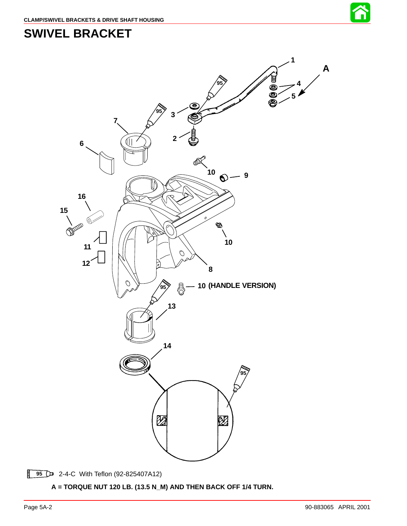

#### **SWIVEL BRACKET**



2-4-C With Teflon (92-825407A12)

**A = TORQUE NUT 120 LB. (13.5 N\_M) AND THEN BACK OFF 1/4 TURN.**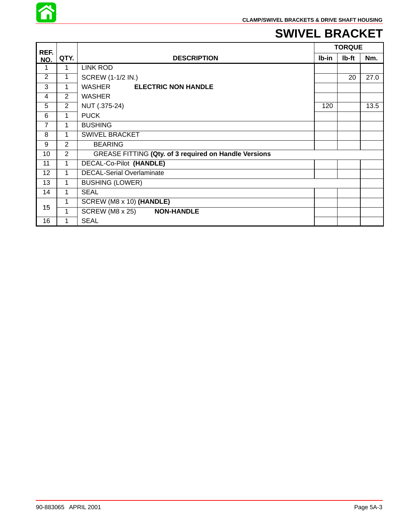

#### **SWIVEL BRACKET**

| REF.            |                |                                                       |       | <b>TORQUE</b> |      |
|-----------------|----------------|-------------------------------------------------------|-------|---------------|------|
| NO.             | QTY.           | <b>DESCRIPTION</b>                                    | lb-in | lb-ft         | Nm.  |
| 1               | 1              | <b>LINK ROD</b>                                       |       |               |      |
| 2               | 1              | <b>SCREW (1-1/2 IN.)</b>                              |       | 20            | 27.0 |
| 3               | 1              | WASHER<br><b>ELECTRIC NON HANDLE</b>                  |       |               |      |
| 4               | $\overline{2}$ | <b>WASHER</b>                                         |       |               |      |
| 5               | $\overline{2}$ | NUT (.375-24)                                         | 120   |               | 13.5 |
| 6               | 1              | <b>PUCK</b>                                           |       |               |      |
| $\overline{7}$  | 1              | <b>BUSHING</b>                                        |       |               |      |
| 8               | 1              | <b>SWIVEL BRACKET</b>                                 |       |               |      |
| 9               | 2              | <b>BEARING</b>                                        |       |               |      |
| 10              | $\overline{2}$ | GREASE FITTING (Qty. of 3 required on Handle Versions |       |               |      |
| 11              | 1              | DECAL-Co-Pilot (HANDLE)                               |       |               |      |
| 12 <sub>2</sub> | $\mathbf{1}$   | <b>DECAL-Serial Overlaminate</b>                      |       |               |      |
| 13              | 1              | <b>BUSHING (LOWER)</b>                                |       |               |      |
| 14              | 1              | <b>SEAL</b>                                           |       |               |      |
| 15              | 1              | SCREW (M8 x 10) (HANDLE)                              |       |               |      |
|                 | 1              | SCREW (M8 x 25) NON-HANDLE                            |       |               |      |
| 16              | 1              | <b>SEAL</b>                                           |       |               |      |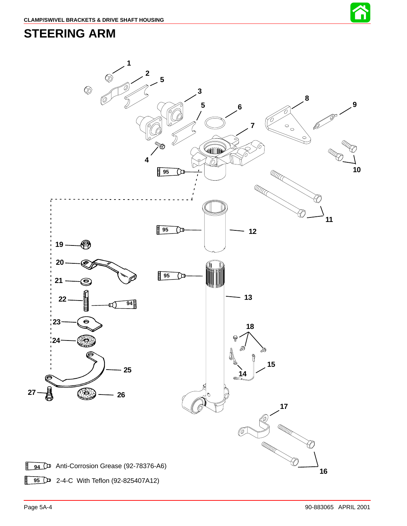

#### <span id="page-3-0"></span>**STEERING ARM**

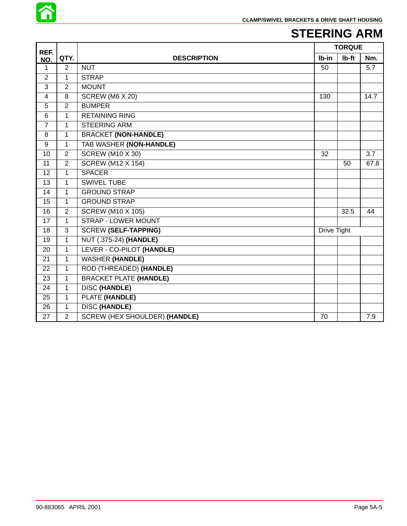

# **STEERING ARM**

| REF.           |                |                                      |             | <b>TORQUE</b> |      |
|----------------|----------------|--------------------------------------|-------------|---------------|------|
| NO.            | QTY.           | <b>DESCRIPTION</b>                   | Ib-in       | lb-ft         | Nm.  |
| 1              | 2              | <b>NUT</b>                           | 50          |               | 5.7  |
| $\overline{2}$ | $\mathbf{1}$   | <b>STRAP</b>                         |             |               |      |
| 3              | $\overline{2}$ | <b>MOUNT</b>                         |             |               |      |
| 4              | 8              | SCREW (M6 X 20)                      | 130         |               | 14.7 |
| 5              | $\overline{2}$ | <b>BUMPER</b>                        |             |               |      |
| 6              | $\mathbf{1}$   | <b>RETAINING RING</b>                |             |               |      |
| $\overline{7}$ | 1              | <b>STEERING ARM</b>                  |             |               |      |
| 8              | $\mathbf{1}$   | <b>BRACKET (NON-HANDLE)</b>          |             |               |      |
| 9              | 1              | <b>TAB WASHER (NON-HANDLE)</b>       |             |               |      |
| 10             | 2              | <b>SCREW (M10 X 30)</b>              | 32          |               | 3.7  |
| 11             | $\overline{2}$ | <b>SCREW (M12 X 154)</b>             |             | 50            | 67.8 |
| 12             | $\mathbf{1}$   | <b>SPACER</b>                        |             |               |      |
| 13             | $\mathbf{1}$   | <b>SWIVEL TUBE</b>                   |             |               |      |
| 14             | 1              | <b>GROUND STRAP</b>                  |             |               |      |
| 15             | $\mathbf{1}$   | <b>GROUND STRAP</b>                  |             |               |      |
| 16             | $\overline{2}$ | <b>SCREW (M10 X 105)</b>             |             | 32.5          | 44   |
| 17             | $\mathbf{1}$   | <b>STRAP - LOWER MOUNT</b>           |             |               |      |
| 18             | 3              | <b>SCREW (SELF-TAPPING)</b>          | Drive Tight |               |      |
| 19             | $\mathbf{1}$   | <b>NUT (.375-24) (HANDLE)</b>        |             |               |      |
| 20             | 1              | LEVER - CO-PILOT (HANDLE)            |             |               |      |
| 21             | $\mathbf{1}$   | <b>WASHER (HANDLE)</b>               |             |               |      |
| 22             | $\mathbf{1}$   | ROD (THREADED) (HANDLE)              |             |               |      |
| 23             | $\mathbf{1}$   | <b>BRACKET PLATE (HANDLE)</b>        |             |               |      |
| 24             | 1              | <b>DISC (HANDLE)</b>                 |             |               |      |
| 25             | $\mathbf{1}$   | PLATE (HANDLE)                       |             |               |      |
| 26             | $\mathbf{1}$   | <b>DISC (HANDLE)</b>                 |             |               |      |
| 27             | $\overline{2}$ | <b>SCREW (HEX SHOULDER) (HANDLE)</b> | 70          |               | 7.9  |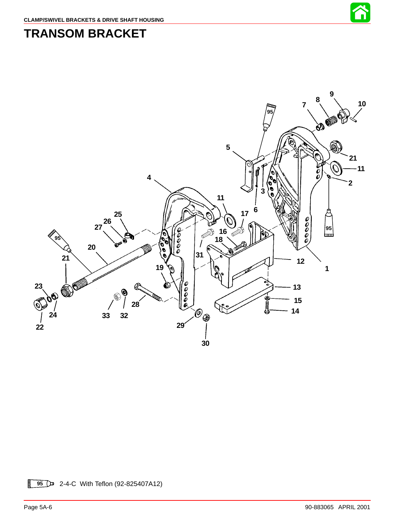

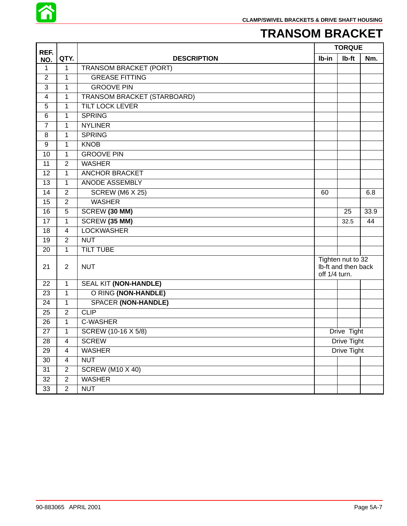

## **TRANSOM BRACKET**

| REF.            |                          |                                    |                                                           | <b>TORQUE</b> |      |
|-----------------|--------------------------|------------------------------------|-----------------------------------------------------------|---------------|------|
| NO.             | QTY.                     | <b>DESCRIPTION</b>                 | Ib-in                                                     | Ib-ft         | Nm.  |
| $\mathbf{1}$    | 1                        | <b>TRANSOM BRACKET (PORT)</b>      |                                                           |               |      |
| $\overline{2}$  | $\mathbf{1}$             | <b>GREASE FITTING</b>              |                                                           |               |      |
| 3               | 1                        | <b>GROOVE PIN</b>                  |                                                           |               |      |
| 4               | 1                        | <b>TRANSOM BRACKET (STARBOARD)</b> |                                                           |               |      |
| 5               | 1                        | <b>TILT LOCK LEVER</b>             |                                                           |               |      |
| 6               | 1                        | <b>SPRING</b>                      |                                                           |               |      |
| $\overline{7}$  | $\mathbf{1}$             | <b>NYLINER</b>                     |                                                           |               |      |
| 8               | 1                        | <b>SPRING</b>                      |                                                           |               |      |
| 9               | $\mathbf{1}$             | <b>KNOB</b>                        |                                                           |               |      |
| 10              | $\mathbf 1$              | <b>GROOVE PIN</b>                  |                                                           |               |      |
| 11              | $\overline{2}$           | <b>WASHER</b>                      |                                                           |               |      |
| 12              | $\mathbf{1}$             | <b>ANCHOR BRACKET</b>              |                                                           |               |      |
| 13              | 1                        | ANODE ASSEMBLY                     |                                                           |               |      |
| 14              | $\overline{2}$           | <b>SCREW (M6 X 25)</b>             | 60                                                        |               | 6.8  |
| 15              | $\overline{2}$           | <b>WASHER</b>                      |                                                           |               |      |
| 16              | 5                        | SCREW (30 MM)                      |                                                           | 25            | 33.9 |
| 17              | $\mathbf{1}$             | SCREW (35 MM)                      |                                                           | 32.5          | 44   |
| 18              | 4                        | <b>LOCKWASHER</b>                  |                                                           |               |      |
| 19              | $\overline{2}$           | <b>NUT</b>                         |                                                           |               |      |
| 20              | 1                        | <b>TILT TUBE</b>                   |                                                           |               |      |
| 21              | $\overline{2}$           | <b>NUT</b>                         | Tighten nut to 32<br>Ib-ft and then back<br>off 1/4 turn. |               |      |
| 22              | 1                        | SEAL KIT (NON-HANDLE)              |                                                           |               |      |
| 23              | $\mathbf{1}$             | O RING (NON-HANDLE)                |                                                           |               |      |
| 24              | 1                        | <b>SPACER (NON-HANDLE)</b>         |                                                           |               |      |
| 25              | $\overline{2}$           | <b>CLIP</b>                        |                                                           |               |      |
| 26              | $\mathbf{1}$             | C-WASHER                           |                                                           |               |      |
| 27              | 1                        | SCREW (10-16 X 5/8)                |                                                           | Drive Tight   |      |
| 28              | 4                        | <b>SCREW</b>                       |                                                           | Drive Tight   |      |
| 29              | $\overline{\mathcal{A}}$ | <b>WASHER</b>                      |                                                           | Drive Tight   |      |
| 30              | $\overline{\mathbf{4}}$  | <b>NUT</b>                         |                                                           |               |      |
| 31              | $\overline{2}$           | <b>SCREW (M10 X 40)</b>            |                                                           |               |      |
| 32              | $\overline{2}$           | <b>WASHER</b>                      |                                                           |               |      |
| $\overline{33}$ | $\overline{2}$           | <b>NUT</b>                         |                                                           |               |      |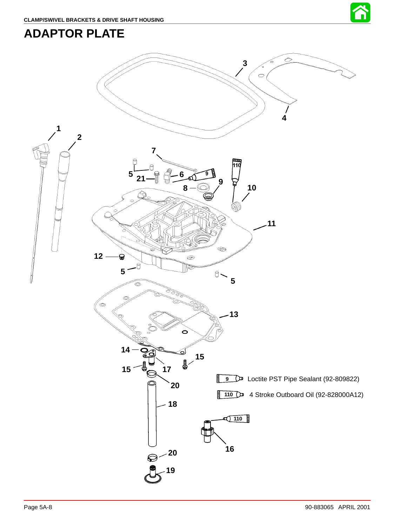



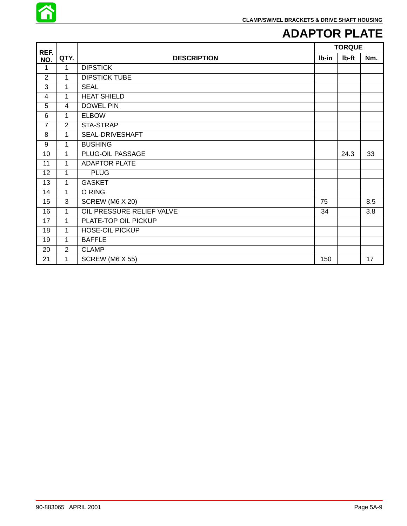

### **ADAPTOR PLATE**

| REF.           |                |                           |       | <b>TORQUE</b> |     |
|----------------|----------------|---------------------------|-------|---------------|-----|
| NO.            | QTY.           | <b>DESCRIPTION</b>        | Ib-in | lb-ft         | Nm. |
| 1              | $\mathbf 1$    | <b>DIPSTICK</b>           |       |               |     |
| $\overline{2}$ | 1              | <b>DIPSTICK TUBE</b>      |       |               |     |
| 3              | 1              | <b>SEAL</b>               |       |               |     |
| 4              | 1              | <b>HEAT SHIELD</b>        |       |               |     |
| 5              | 4              | <b>DOWEL PIN</b>          |       |               |     |
| $6\phantom{1}$ | $\mathbf{1}$   | <b>ELBOW</b>              |       |               |     |
| $\overline{7}$ | $\overline{2}$ | STA-STRAP                 |       |               |     |
| 8              | 1              | SEAL-DRIVESHAFT           |       |               |     |
| 9              | 1              | <b>BUSHING</b>            |       |               |     |
| 10             | $\mathbf{1}$   | PLUG-OIL PASSAGE          |       | 24.3          | 33  |
| 11             | $\mathbf{1}$   | <b>ADAPTOR PLATE</b>      |       |               |     |
| 12             | 1              | <b>PLUG</b>               |       |               |     |
| 13             | $\mathbf{1}$   | <b>GASKET</b>             |       |               |     |
| 14             | 1              | O RING                    |       |               |     |
| 15             | 3              | SCREW (M6 X 20)           | 75    |               | 8.5 |
| 16             | $\mathbf{1}$   | OIL PRESSURE RELIEF VALVE | 34    |               | 3.8 |
| 17             | 1              | PLATE-TOP OIL PICKUP      |       |               |     |
| 18             | 1              | <b>HOSE-OIL PICKUP</b>    |       |               |     |
| 19             | 1              | <b>BAFFLE</b>             |       |               |     |
| 20             | $\overline{2}$ | <b>CLAMP</b>              |       |               |     |
| 21             | 1              | <b>SCREW (M6 X 55)</b>    | 150   |               | 17  |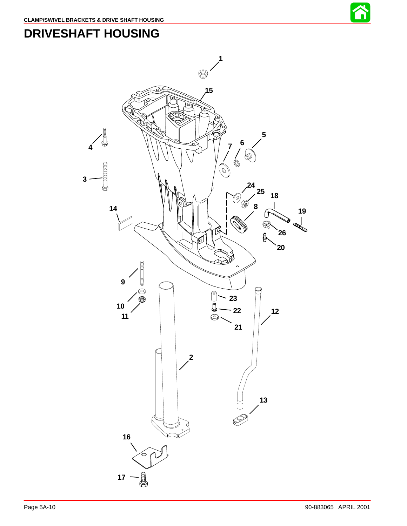

# **DRIVESHAFT HOUSING**

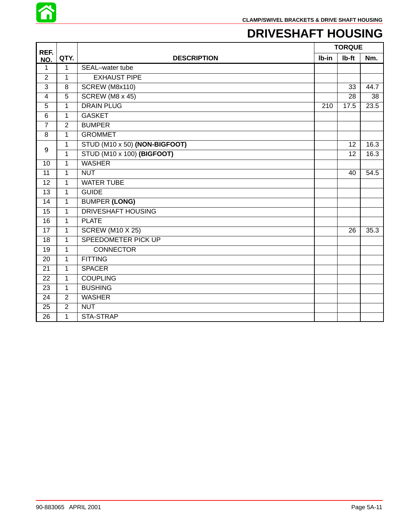

# **DRIVESHAFT HOUSING**

| REF.            |                |                               | <b>TORQUE</b> |       |      |
|-----------------|----------------|-------------------------------|---------------|-------|------|
| NO.             | QTY.           | <b>DESCRIPTION</b>            | Ib-in         | Ib-ft | Nm.  |
| 1               | 1              | SEAL-water tube               |               |       |      |
| $\overline{2}$  | 1              | <b>EXHAUST PIPE</b>           |               |       |      |
| 3               | 8              | SCREW (M8x110)                |               | 33    | 44.7 |
| 4               | 5              | <b>SCREW (M8 x 45)</b>        |               | 28    | 38   |
| 5               | 1              | <b>DRAIN PLUG</b>             | 210           | 17.5  | 23.5 |
| $6\phantom{1}6$ | $\mathbf{1}$   | <b>GASKET</b>                 |               |       |      |
| $\overline{7}$  | $\overline{2}$ | <b>BUMPER</b>                 |               |       |      |
| 8               | $\mathbf{1}$   | <b>GROMMET</b>                |               |       |      |
|                 | 1              | STUD (M10 x 50) (NON-BIGFOOT) |               | 12    | 16.3 |
| 9               | $\overline{1}$ | STUD (M10 x 100) (BIGFOOT)    |               | 12    | 16.3 |
| 10              | 1              | <b>WASHER</b>                 |               |       |      |
| 11              | 1              | <b>NUT</b>                    |               | 40    | 54.5 |
| 12              | 1              | <b>WATER TUBE</b>             |               |       |      |
| 13              | 1              | <b>GUIDE</b>                  |               |       |      |
| 14              | $\mathbf{1}$   | <b>BUMPER (LONG)</b>          |               |       |      |
| 15              | 1              | <b>DRIVESHAFT HOUSING</b>     |               |       |      |
| 16              | 1              | <b>PLATE</b>                  |               |       |      |
| 17              | $\mathbf{1}$   | <b>SCREW (M10 X 25)</b>       |               | 26    | 35.3 |
| 18              | 1              | <b>SPEEDOMETER PICK UP</b>    |               |       |      |
| 19              | 1              | <b>CONNECTOR</b>              |               |       |      |
| 20              | 1              | <b>FITTING</b>                |               |       |      |
| 21              | $\mathbf{1}$   | <b>SPACER</b>                 |               |       |      |
| 22              | 1              | <b>COUPLING</b>               |               |       |      |
| 23              | 1              | <b>BUSHING</b>                |               |       |      |
| 24              | $\overline{2}$ | <b>WASHER</b>                 |               |       |      |
| 25              | $\overline{2}$ | <b>NUT</b>                    |               |       |      |
| 26              | 1              | STA-STRAP                     |               |       |      |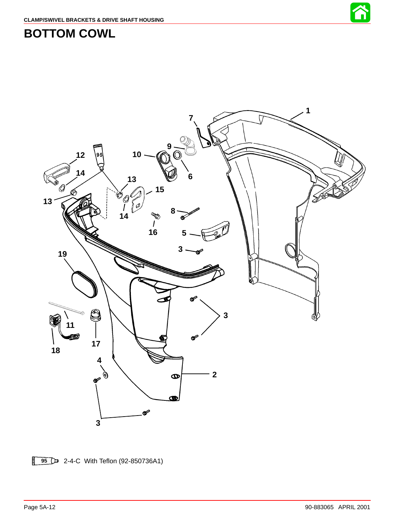



**BOTTOM COWL**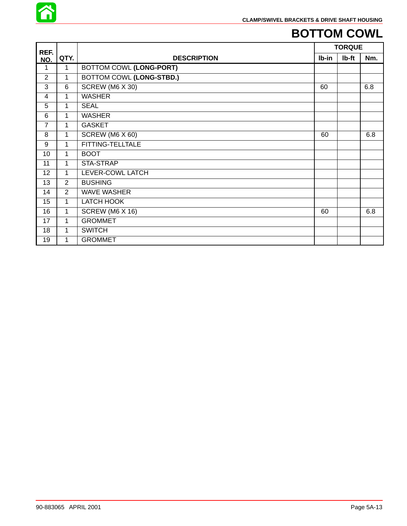

# **BOTTOM COWL**

| REF.            |                |                          |       | <b>TORQUE</b> |     |
|-----------------|----------------|--------------------------|-------|---------------|-----|
| NO.             | QTY.           | <b>DESCRIPTION</b>       | Ib-in | Ib-ft         | Nm. |
| 1               | 1              | BOTTOM COWL (LONG-PORT)  |       |               |     |
| $\overline{2}$  | 1              | BOTTOM COWL (LONG-STBD.) |       |               |     |
| 3               | 6              | SCREW (M6 X 30)          | 60    |               | 6.8 |
| $\overline{4}$  | 1              | <b>WASHER</b>            |       |               |     |
| 5               | 1              | <b>SEAL</b>              |       |               |     |
| 6               | 1              | <b>WASHER</b>            |       |               |     |
| $\overline{7}$  | 1              | <b>GASKET</b>            |       |               |     |
| 8               | 1              | SCREW (M6 X 60)          | 60    |               | 6.8 |
| 9               | 1              | FITTING-TELLTALE         |       |               |     |
| 10 <sup>1</sup> | 1              | <b>BOOT</b>              |       |               |     |
| 11              | 1              | STA-STRAP                |       |               |     |
| 12              | $\mathbf{1}$   | LEVER-COWL LATCH         |       |               |     |
| 13              | 2              | <b>BUSHING</b>           |       |               |     |
| 14              | $\overline{2}$ | <b>WAVE WASHER</b>       |       |               |     |
| 15              | 1              | LATCH HOOK               |       |               |     |
| 16              | 1              | SCREW (M6 X 16)          | 60    |               | 6.8 |
| 17              | $\mathbf{1}$   | <b>GROMMET</b>           |       |               |     |
| 18              | 1              | <b>SWITCH</b>            |       |               |     |
| 19              | 1              | <b>GROMMET</b>           |       |               |     |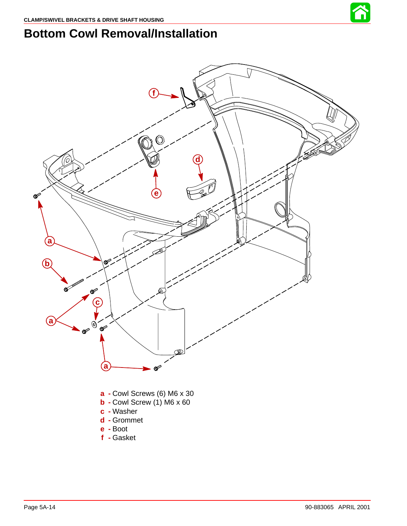

## **Bottom Cowl Removal/Installation**

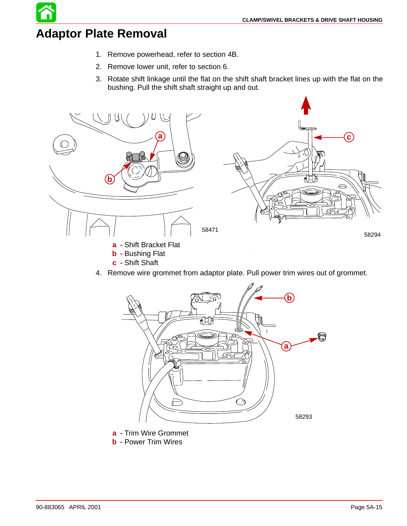# **Adaptor Plate Removal**

- 1. Remove powerhead, refer to section 4B.
- 2. Remove lower unit, refer to section 6.
- 3. Rotate shift linkage until the flat on the shift shaft bracket lines up with the flat on the bushing. Pull the shift shaft straight up and out.



4. Remove wire grommet from adaptor plate. Pull power trim wires out of grommet.



**a -** Trim Wire Grommet

**c -** Shift Shaft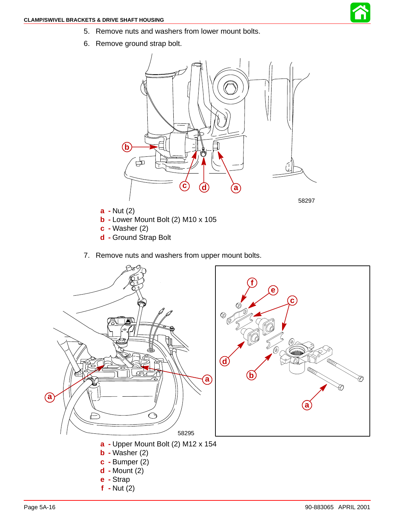

- 5. Remove nuts and washers from lower mount bolts.
- 6. Remove ground strap bolt.



- **b -** Lower Mount Bolt (2) M10 x 105
- **c -** Washer (2)
- **d -** Ground Strap Bolt
- 7. Remove nuts and washers from upper mount bolts.

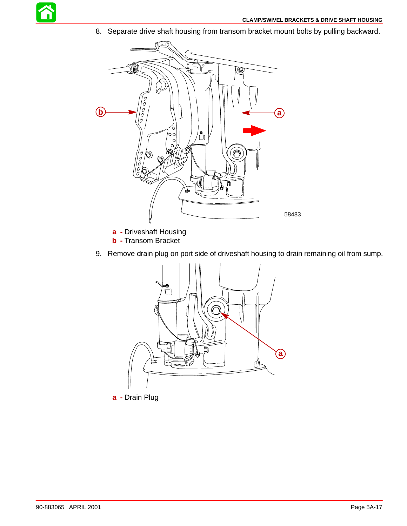

8. Separate drive shaft housing from transom bracket mount bolts by pulling backward.



**a -** Driveshaft Housing

- **b -** Transom Bracket
- 9. Remove drain plug on port side of driveshaft housing to drain remaining oil from sump.



**a -** Drain Plug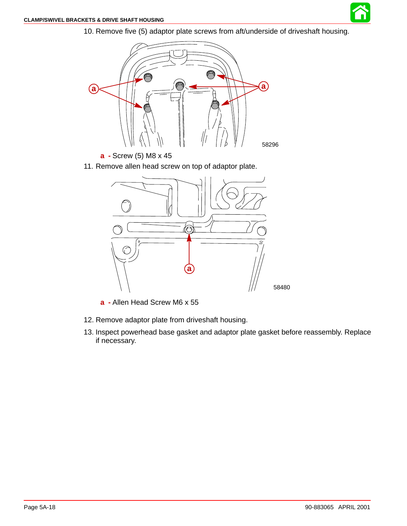

10. Remove five (5) adaptor plate screws from aft/underside of driveshaft housing.



**a -** Screw (5) M8 x 45

11. Remove allen head screw on top of adaptor plate.



**a -** Allen Head Screw M6 x 55

- 12. Remove adaptor plate from driveshaft housing.
- 13. Inspect powerhead base gasket and adaptor plate gasket before reassembly. Replace if necessary.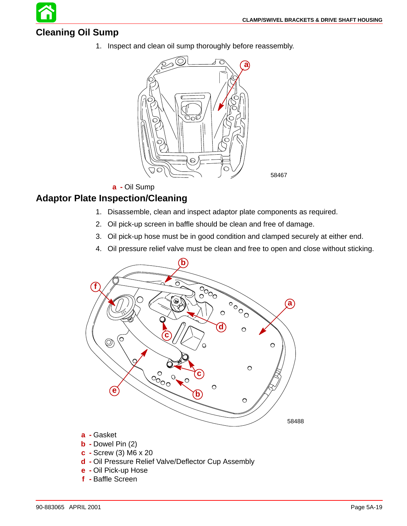#### **Cleaning Oil Sump**

1. Inspect and clean oil sump thoroughly before reassembly.



**a -** Oil Sump

#### **Adaptor Plate Inspection/Cleaning**

- 1. Disassemble, clean and inspect adaptor plate components as required.
- 2. Oil pick-up screen in baffle should be clean and free of damage.
- 3. Oil pick-up hose must be in good condition and clamped securely at either end.
- 4. Oil pressure relief valve must be clean and free to open and close without sticking.

58467



- **b -** Dowel Pin (2)
- **c -** Screw (3) M6 x 20
- **d -** Oil Pressure Relief Valve/Deflector Cup Assembly
- **e -** Oil Pick-up Hose
- **f -** Baffle Screen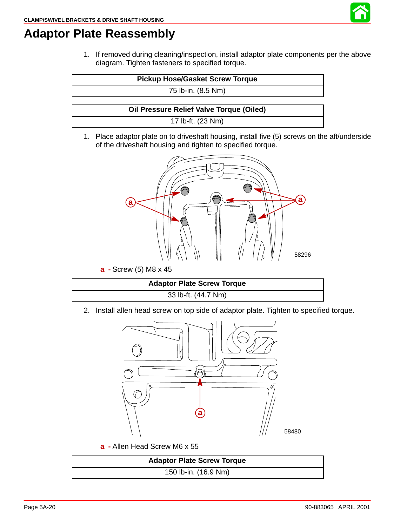

## **Adaptor Plate Reassembly**

1. If removed during cleaning/inspection, install adaptor plate components per the above diagram. Tighten fasteners to specified torque.

|  | <b>Pickup Hose/Gasket Screw Torque</b> |  |  |
|--|----------------------------------------|--|--|
|--|----------------------------------------|--|--|

75 lb-in. (8.5 Nm)

**Oil Pressure Relief Valve Torque (Oiled)**

17 lb-ft. (23 Nm)

1. Place adaptor plate on to driveshaft housing, install five (5) screws on the aft/underside of the driveshaft housing and tighten to specified torque.



**a -** Screw (5) M8 x 45

| <b>Adaptor Plate Screw Torque</b> |
|-----------------------------------|
| 33 lb-ft. (44.7 Nm)               |

2. Install allen head screw on top side of adaptor plate. Tighten to specified torque.



**a -** Allen Head Screw M6 x 55

| <b>Adaptor Plate Screw Torque</b> |
|-----------------------------------|
| 150 lb-in. (16.9 Nm)              |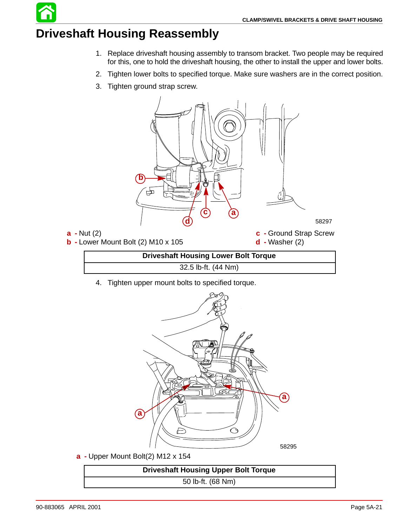# **Driveshaft Housing Reassembly**

- 1. Replace driveshaft housing assembly to transom bracket. Two people may be required for this, one to hold the driveshaft housing, the other to install the upper and lower bolts.
- 2. Tighten lower bolts to specified torque. Make sure washers are in the correct position.
- 3. Tighten ground strap screw.



4. Tighten upper mount bolts to specified torque.



**a -** Upper Mount Bolt(2) M12 x 154

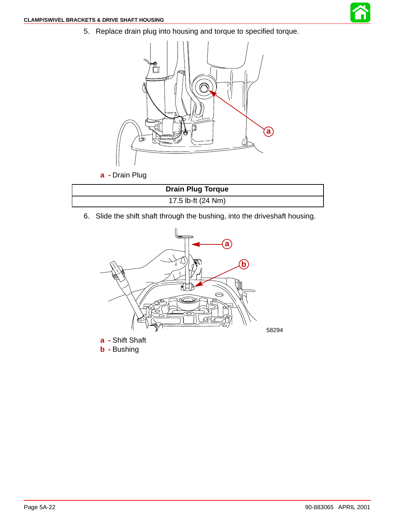5. Replace drain plug into housing and torque to specified torque.



6. Slide the shift shaft through the bushing, into the driveshaft housing.

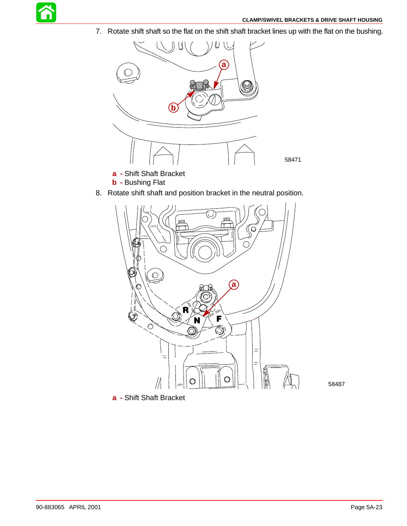

7. Rotate shift shaft so the flat on the shift shaft bracket lines up with the flat on the bushing.



- **a -** Shift Shaft Bracket
- **b -** Bushing Flat
- 8. Rotate shift shaft and position bracket in the neutral position.



58487

**a -** Shift Shaft Bracket